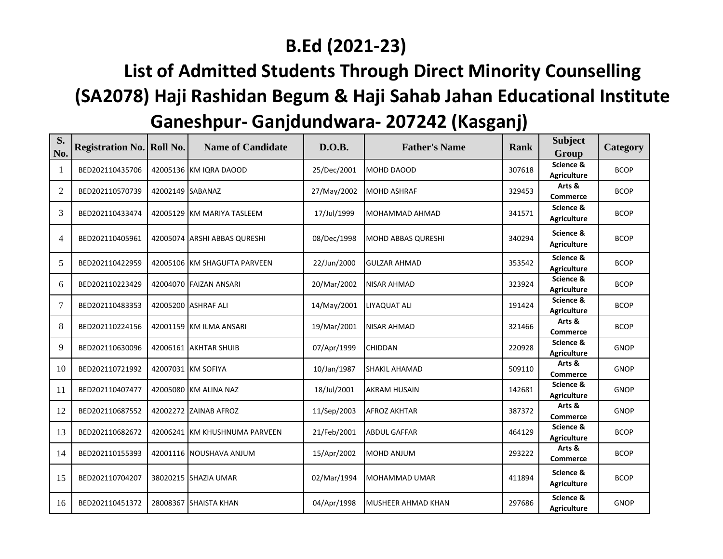## **B.Ed (2021-23)**

## **List of Admitted Students Through Direct Minority Counselling (SA2078) Haji Rashidan Begum & Haji Sahab Jahan Educational Institute Ganeshpur- Ganjdundwara- 207242 (Kasganj)**

| S.<br>No.      | <b>Registration No. Roll No.</b> |                  | <b>Name of Candidate</b>      | D.O.B.      | <b>Father's Name</b>      | <b>Rank</b> | <b>Subject</b><br>Group         | Category    |
|----------------|----------------------------------|------------------|-------------------------------|-------------|---------------------------|-------------|---------------------------------|-------------|
| -1             | BED202110435706                  |                  | 42005136 KM IQRA DAOOD        | 25/Dec/2001 | MOHD DAOOD                | 307618      | Science &<br><b>Agriculture</b> | <b>BCOP</b> |
| $\overline{2}$ | BED202110570739                  | 42002149 SABANAZ |                               | 27/May/2002 | <b>MOHD ASHRAF</b>        | 329453      | Arts &<br><b>Commerce</b>       | <b>BCOP</b> |
| 3              | BED202110433474                  |                  | 42005129 KM MARIYA TASLEEM    | 17/Jul/1999 | MOHAMMAD AHMAD            | 341571      | Science &<br><b>Agriculture</b> | <b>BCOP</b> |
| $\overline{4}$ | BED202110405961                  |                  | 42005074 ARSHI ABBAS QURESHI  | 08/Dec/1998 | <b>MOHD ABBAS QURESHI</b> | 340294      | Science &<br><b>Agriculture</b> | <b>BCOP</b> |
| 5              | BED202110422959                  |                  | 42005106 KM SHAGUFTA PARVEEN  | 22/Jun/2000 | <b>GULZAR AHMAD</b>       | 353542      | Science &<br><b>Agriculture</b> | <b>BCOP</b> |
| 6              | BED202110223429                  |                  | 42004070 FAIZAN ANSARI        | 20/Mar/2002 | <b>NISAR AHMAD</b>        | 323924      | Science &<br><b>Agriculture</b> | <b>BCOP</b> |
| 7              | BED202110483353                  |                  | 42005200 ASHRAF ALI           | 14/May/2001 | LIYAQUAT ALI              | 191424      | Science &<br><b>Agriculture</b> | <b>BCOP</b> |
| 8              | BED202110224156                  |                  | 42001159 KM ILMA ANSARI       | 19/Mar/2001 | <b>NISAR AHMAD</b>        | 321466      | Arts &<br><b>Commerce</b>       | <b>BCOP</b> |
| 9              | BED202110630096                  |                  | 42006161 AKHTAR SHUIB         | 07/Apr/1999 | <b>CHIDDAN</b>            | 220928      | Science &<br><b>Agriculture</b> | <b>GNOP</b> |
| 10             | BED202110721992                  |                  | 42007031 KM SOFIYA            | 10/Jan/1987 | SHAKIL AHAMAD             | 509110      | Arts &<br><b>Commerce</b>       | <b>GNOP</b> |
| 11             | BED202110407477                  |                  | 42005080 KM ALINA NAZ         | 18/Jul/2001 | <b>AKRAM HUSAIN</b>       | 142681      | Science &<br><b>Agriculture</b> | <b>GNOP</b> |
| 12             | BED202110687552                  |                  | 42002272 ZAINAB AFROZ         | 11/Sep/2003 | <b>AFROZ AKHTAR</b>       | 387372      | Arts &<br><b>Commerce</b>       | <b>GNOP</b> |
| 13             | BED202110682672                  |                  | 42006241 KM KHUSHNUMA PARVEEN | 21/Feb/2001 | <b>ABDUL GAFFAR</b>       | 464129      | Science &<br><b>Agriculture</b> | <b>BCOP</b> |
| 14             | BED202110155393                  |                  | 42001116 NOUSHAVA ANJUM       | 15/Apr/2002 | MOHD ANJUM                | 293222      | Arts &<br><b>Commerce</b>       | <b>BCOP</b> |
| 15             | BED202110704207                  |                  | 38020215 SHAZIA UMAR          | 02/Mar/1994 | MOHAMMAD UMAR             | 411894      | Science &<br><b>Agriculture</b> | <b>BCOP</b> |
| 16             | BED202110451372                  |                  | 28008367 SHAISTA KHAN         | 04/Apr/1998 | <b>MUSHEER AHMAD KHAN</b> | 297686      | Science &<br><b>Agriculture</b> | <b>GNOP</b> |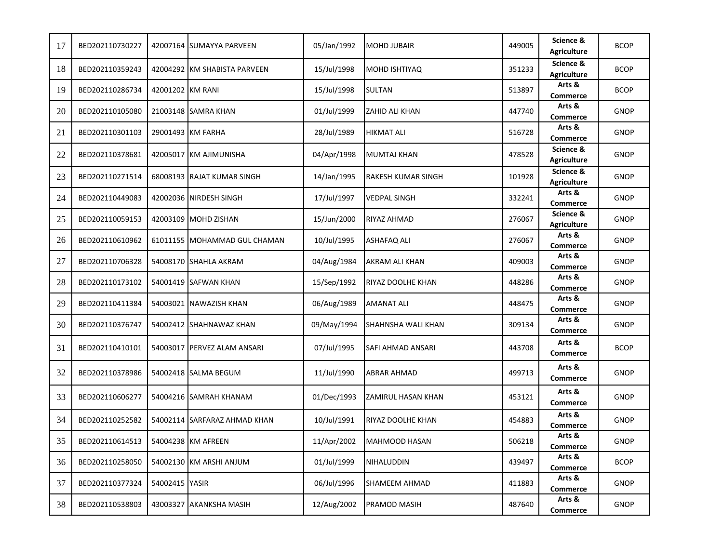| 17 | BED202110730227 |                  | 42007164 SUMAYYA PARVEEN     | 05/Jan/1992 | <b>MOHD JUBAIR</b>   | 449005 | Science &<br><b>Agriculture</b> | <b>BCOP</b> |
|----|-----------------|------------------|------------------------------|-------------|----------------------|--------|---------------------------------|-------------|
| 18 | BED202110359243 |                  | 42004292 KM SHABISTA PARVEEN | 15/Jul/1998 | <b>MOHD ISHTIYAQ</b> | 351233 | Science &<br><b>Agriculture</b> | <b>BCOP</b> |
| 19 | BED202110286734 | 42001202 KM RANI |                              | 15/Jul/1998 | SULTAN               | 513897 | Arts &<br>Commerce              | <b>BCOP</b> |
| 20 | BED202110105080 |                  | 21003148 SAMRA KHAN          | 01/Jul/1999 | ZAHID ALI KHAN       | 447740 | Arts &<br><b>Commerce</b>       | <b>GNOP</b> |
| 21 | BED202110301103 |                  | 29001493 KM FARHA            | 28/Jul/1989 | HIKMAT ALI           | 516728 | Arts &<br><b>Commerce</b>       | <b>GNOP</b> |
| 22 | BED202110378681 |                  | 42005017 KM AJIMUNISHA       | 04/Apr/1998 | MUMTAJ KHAN          | 478528 | Science &<br><b>Agriculture</b> | GNOP        |
| 23 | BED202110271514 |                  | 68008193 RAJAT KUMAR SINGH   | 14/Jan/1995 | RAKESH KUMAR SINGH   | 101928 | Science &<br><b>Agriculture</b> | <b>GNOP</b> |
| 24 | BED202110449083 |                  | 42002036 NIRDESH SINGH       | 17/Jul/1997 | VEDPAL SINGH         | 332241 | Arts &<br><b>Commerce</b>       | <b>GNOP</b> |
| 25 | BED202110059153 |                  | 42003109 MOHD ZISHAN         | 15/Jun/2000 | RIYAZ AHMAD          | 276067 | Science &<br><b>Agriculture</b> | <b>GNOP</b> |
| 26 | BED202110610962 |                  | 61011155 MOHAMMAD GUL CHAMAN | 10/Jul/1995 | <b>ASHAFAQ ALI</b>   | 276067 | Arts &<br><b>Commerce</b>       | <b>GNOP</b> |
| 27 | BED202110706328 |                  | 54008170 SHAHLA AKRAM        | 04/Aug/1984 | AKRAM ALI KHAN       | 409003 | Arts &<br><b>Commerce</b>       | <b>GNOP</b> |
| 28 | BED202110173102 |                  | 54001419 SAFWAN KHAN         | 15/Sep/1992 | RIYAZ DOOLHE KHAN    | 448286 | Arts &<br><b>Commerce</b>       | <b>GNOP</b> |
| 29 | BED202110411384 | 54003021         | NAWAZISH KHAN                | 06/Aug/1989 | <b>AMANAT ALI</b>    | 448475 | Arts &<br><b>Commerce</b>       | <b>GNOP</b> |
| 30 | BED202110376747 |                  | 54002412 SHAHNAWAZ KHAN      | 09/May/1994 | SHAHNSHA WALI KHAN   | 309134 | Arts &<br><b>Commerce</b>       | <b>GNOP</b> |
| 31 | BED202110410101 |                  | 54003017 PERVEZ ALAM ANSARI  | 07/Jul/1995 | SAFI AHMAD ANSARI    | 443708 | Arts &<br><b>Commerce</b>       | <b>BCOP</b> |
| 32 | BED202110378986 |                  | 54002418 SALMA BEGUM         | 11/Jul/1990 | <b>ABRAR AHMAD</b>   | 499713 | Arts &<br><b>Commerce</b>       | <b>GNOP</b> |
| 33 | BED202110606277 |                  | 54004216 SAMRAH KHANAM       | 01/Dec/1993 | ZAMIRUL HASAN KHAN   | 453121 | Arts &<br><b>Commerce</b>       | <b>GNOP</b> |
| 34 | BED202110252582 |                  | 54002114 SARFARAZ AHMAD KHAN | 10/Jul/1991 | RIYAZ DOOLHE KHAN    | 454883 | Arts &<br><b>Commerce</b>       | <b>GNOP</b> |
| 35 | BED202110614513 |                  | 54004238 KM AFREEN           | 11/Apr/2002 | MAHMOOD HASAN        | 506218 | Arts &<br>Commerce              | <b>GNOP</b> |
| 36 | BED202110258050 |                  | 54002130 KM ARSHI ANJUM      | 01/Jul/1999 | NIHALUDDIN           | 439497 | Arts &<br><b>Commerce</b>       | <b>BCOP</b> |
| 37 | BED202110377324 | 54002415 YASIR   |                              | 06/Jul/1996 | <b>SHAMEEM AHMAD</b> | 411883 | Arts &<br><b>Commerce</b>       | <b>GNOP</b> |
| 38 | BED202110538803 |                  | 43003327 AKANKSHA MASIH      | 12/Aug/2002 | PRAMOD MASIH         | 487640 | Arts &<br>Commerce              | <b>GNOP</b> |